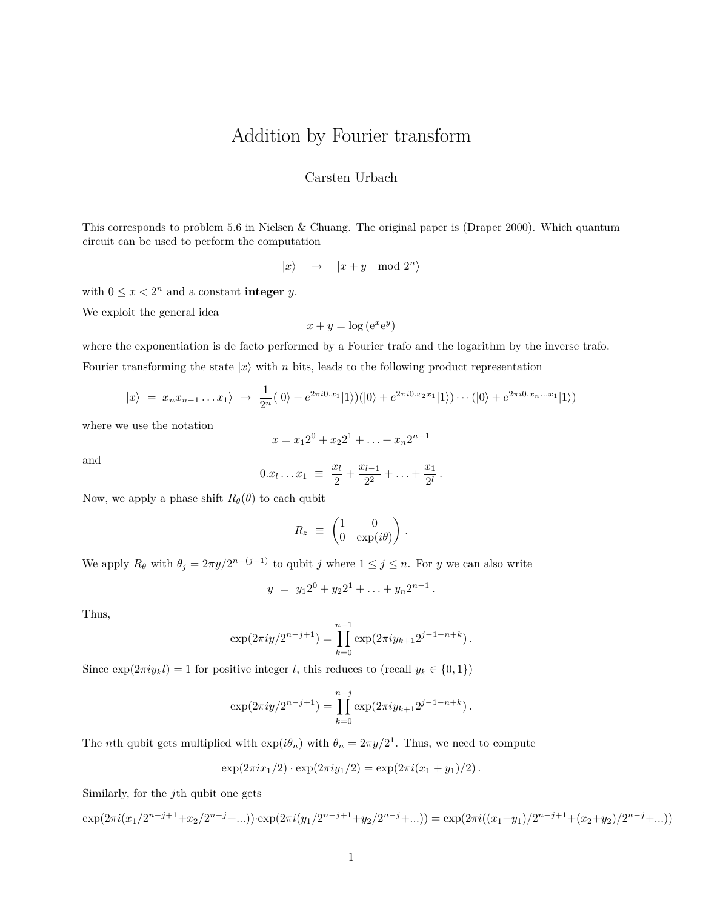## Addition by Fourier transform

## Carsten Urbach

This corresponds to problem 5.6 in Nielsen & Chuang. The original paper is (Draper 2000). Which quantum circuit can be used to perform the computation

$$
|x\rangle \quad \rightarrow \quad |x+y \mod 2^n\rangle
$$

with  $0 \leq x < 2^n$  and a constant **integer** *y*.

We exploit the general idea

$$
x + y = \log(e^x e^y)
$$

where the exponentiation is de facto performed by a Fourier trafo and the logarithm by the inverse trafo. Fourier transforming the state  $|x\rangle$  with *n* bits, leads to the following product representation

$$
|x\rangle = |x_n x_{n-1} \dots x_1\rangle \rightarrow \frac{1}{2^n} (|0\rangle + e^{2\pi i 0 \cdot x_1} |1\rangle)(|0\rangle + e^{2\pi i 0 \cdot x_2 x_1} |1\rangle) \cdots (|0\rangle + e^{2\pi i 0 \cdot x_n \dots x_1} |1\rangle)
$$

where we use the notation

$$
x = x_1 2^0 + x_2 2^1 + \ldots + x_n 2^{n-1}
$$

and

$$
0.x_l \ldots x_1 \equiv \frac{x_l}{2} + \frac{x_{l-1}}{2^2} + \ldots + \frac{x_1}{2^l}.
$$

Now, we apply a phase shift  $R_{\theta}(\theta)$  to each qubit

$$
R_z \equiv \begin{pmatrix} 1 & 0 \\ 0 & \exp(i\theta) \end{pmatrix}.
$$

We apply  $R_{\theta}$  with  $\theta_j = 2\pi y/2^{n-(j-1)}$  to qubit *j* where  $1 \leq j \leq n$ . For *y* we can also write

$$
y = y_1 2^0 + y_2 2^1 + \ldots + y_n 2^{n-1}.
$$

Thus,

$$
\exp(2\pi i y/2^{n-j+1}) = \prod_{k=0}^{n-1} \exp(2\pi i y_{k+1} 2^{j-1-n+k}).
$$

Since  $\exp(2\pi i y_k l) = 1$  for positive integer *l*, this reduces to (recall  $y_k \in \{0, 1\}$ )

$$
\exp(2\pi i y/2^{n-j+1}) = \prod_{k=0}^{n-j} \exp(2\pi i y_{k+1} 2^{j-1-n+k}).
$$

The *n*th qubit gets multiplied with  $\exp(i\theta_n)$  with  $\theta_n = 2\pi y/2^1$ . Thus, we need to compute

$$
\exp(2\pi ix_1/2) \cdot \exp(2\pi iy_1/2) = \exp(2\pi i (x_1 + y_1)/2).
$$

Similarly, for the *j*th qubit one gets

$$
\exp(2\pi i (x_1/2^{n-j+1}+x_2/2^{n-j}+...))\cdot \exp(2\pi i (y_1/2^{n-j+1}+y_2/2^{n-j}+...))=\exp(2\pi i ((x_1+y_1)/2^{n-j+1}+(x_2+y_2)/2^{n-j}+...))
$$